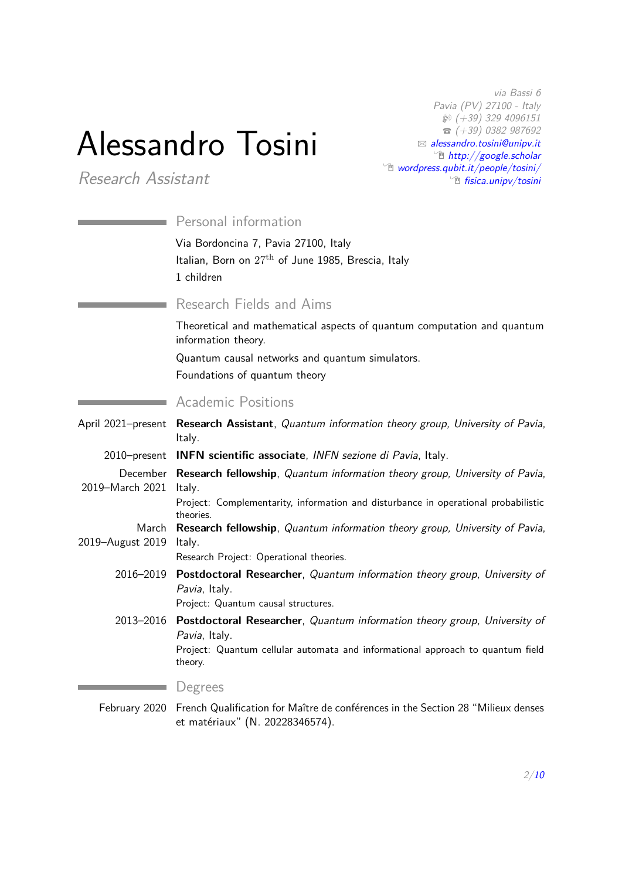# Alessandro Tosini

*Research Assistant*

*via Bassi 6 Pavia (PV) 27100 - Italy* H *(+39) 329 4096151* T *(+39) 0382 987692* B *[alessandro.tosini@unipv.it](mailto:alessandro.tosini@unipv.it)* Õ *[http://google.scholar](http://https://scholar.google.it/citations?user=plDs520AAAAJ)* Õ *[wordpress.qubit.it/people/tosini/](http://wordpress.qubit.it/people/tosini/)* Õ *[fisica.unipv/tosini](http://fisica.unipv.it/personale/Persona.php?ID=206)*

|                    | Personal information                                                                                                                                                                  |
|--------------------|---------------------------------------------------------------------------------------------------------------------------------------------------------------------------------------|
|                    | Via Bordoncina 7, Pavia 27100, Italy<br>Italian, Born on 27 <sup>th</sup> of June 1985, Brescia, Italy<br>1 children                                                                  |
|                    | Research Fields and Aims                                                                                                                                                              |
|                    | Theoretical and mathematical aspects of quantum computation and quantum<br>information theory.                                                                                        |
|                    | Quantum causal networks and quantum simulators.                                                                                                                                       |
|                    | Foundations of quantum theory                                                                                                                                                         |
|                    | <b>Academic Positions</b>                                                                                                                                                             |
| April 2021-present | Research Assistant, Quantum information theory group, University of Pavia,<br>Italy.                                                                                                  |
|                    | 2010–present <b>INFN scientific associate</b> , <i>INFN sezione di Pavia</i> , Italy.                                                                                                 |
| 2019-March 2021    | December Research fellowship, Quantum information theory group, University of Pavia,<br>Italy.                                                                                        |
|                    | Project: Complementarity, information and disturbance in operational probabilistic<br>theories.                                                                                       |
| 2019-August 2019   | March Research fellowship, Quantum information theory group, University of Pavia,<br>Italy.                                                                                           |
|                    | Research Project: Operational theories.                                                                                                                                               |
|                    | 2016-2019 Postdoctoral Researcher, Quantum information theory group, University of<br>Pavia, Italy.<br>Project: Quantum causal structures.                                            |
|                    | 2013-2016 Postdoctoral Researcher, Quantum information theory group, University of<br>Pavia, Italy.<br>Project: Quantum cellular automata and informational approach to quantum field |
|                    | theory.                                                                                                                                                                               |
|                    | Degrees                                                                                                                                                                               |

February 2020 French Qualification for Maître de conférences in the Section 28 "Milieux denses et matériaux" (N. 20228346574).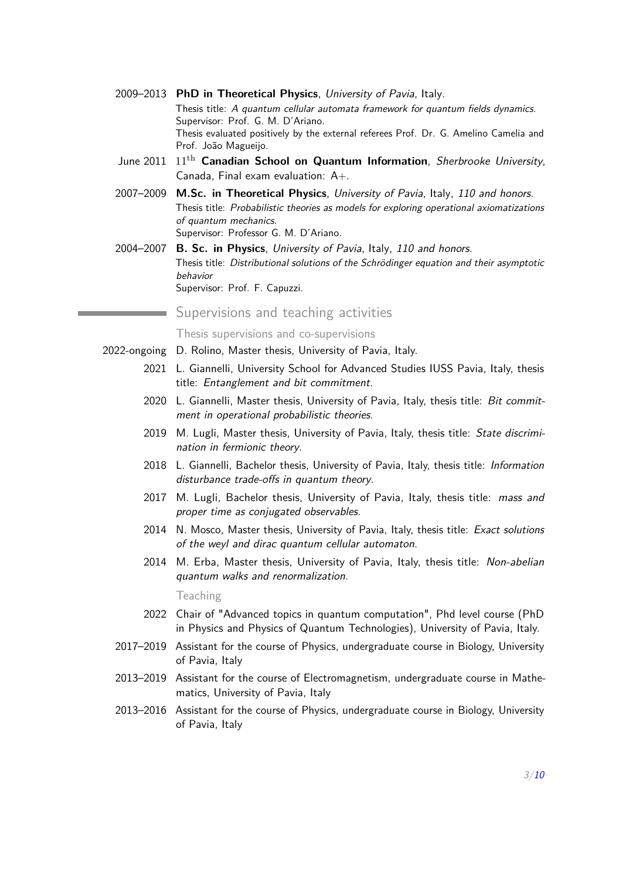- 2009–2013 **PhD in Theoretical Physics**, *University of Pavia*, Italy. Thesis title: *A quantum cellular automata framework for quantum fields dynamics*. Supervisor: Prof. G. M. D'Ariano. Thesis evaluated positively by the external referees Prof. Dr. G. Amelino Camelia and Prof. João Magueijo.
- June 2011 11th **Canadian School on Quantum Information**, *Sherbrooke University*, Canada, Final exam evaluation: A+.
- 2007–2009 **M.Sc. in Theoretical Physics**, *University of Pavia*, Italy, *110 and honors*. Thesis title: *Probabilistic theories as models for exploring operational axiomatizations of quantum mechanics*. Supervisor: Professor G. M. D'Ariano.
- 2004–2007 **B. Sc. in Physics**, *University of Pavia*, Italy, *110 and honors*. Thesis title: *Distributional solutions of the Schrödinger equation and their asymptotic behavior* Supervisor: Prof. F. Capuzzi.

#### Supervisions and teaching activities

Thesis supervisions and co-supervisions

- 2022-ongoing D. Rolino, Master thesis, University of Pavia, Italy.
	- 2021 L. Giannelli, University School for Advanced Studies IUSS Pavia, Italy, thesis title: *Entanglement and bit commitment.*
	- 2020 L. Giannelli, Master thesis, University of Pavia, Italy, thesis title: *Bit commitment in operational probabilistic theories*.
	- 2019 M. Lugli, Master thesis, University of Pavia, Italy, thesis title: *State discrimination in fermionic theory*.
	- 2018 L. Giannelli, Bachelor thesis, University of Pavia, Italy, thesis title: *Information* disturbance trade-offs in quantum theory.
	- 2017 M. Lugli, Bachelor thesis, University of Pavia, Italy, thesis title: *mass and proper time as conjugated observables*.
	- 2014 N. Mosco, Master thesis, University of Pavia, Italy, thesis title: *Exact solutions of the weyl and dirac quantum cellular automaton*.
	- 2014 M. Erba, Master thesis, University of Pavia, Italy, thesis title: *Non-abelian quantum walks and renormalization*.

Teaching

- 2022 Chair of "Advanced topics in quantum computation", Phd level course (PhD in Physics and Physics of Quantum Technologies), University of Pavia, Italy.
- 2017–2019 Assistant for the course of Physics, undergraduate course in Biology, University of Pavia, Italy
- 2013–2019 Assistant for the course of Electromagnetism, undergraduate course in Mathematics, University of Pavia, Italy
- 2013–2016 Assistant for the course of Physics, undergraduate course in Biology, University of Pavia, Italy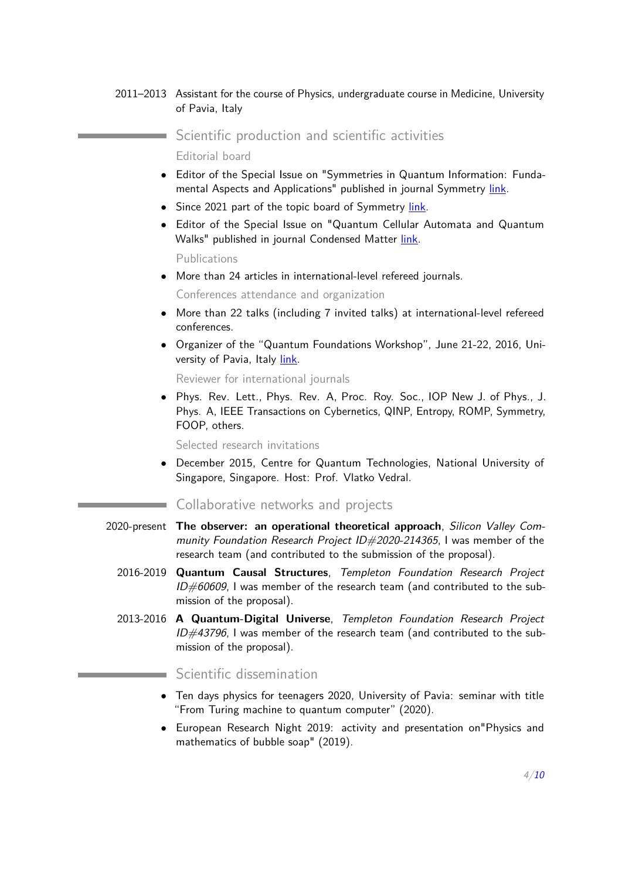#### 2011–2013 Assistant for the course of Physics, undergraduate course in Medicine, University of Pavia, Italy

Scientific production and scientific activities

Editorial board

- *•* Editor of the Special Issue on "Symmetries in Quantum Information: Fundamental Aspects and Applications" published in journal Symmetry [link.](https://www.mdpi.com/journal/symmetry/special_issues/symmetries_quantum_information_fundamental_aspects_and_applications)
- *•* Since 2021 part of the topic board of Symmetry [link.](https://www.mdpi.com/journal/symmetry/topical_advisory_panel)
- *•* Editor of the Special Issue on "Quantum Cellular Automata and Quantum Walks" published in journal Condensed Matter [link.](http://www.mdpi.com/journal/condensedmatter/special_issues/QCAQW)

Publications

m.

*•* More than 24 articles in international-level refereed journals.

Conferences attendance and organization

- *•* More than 22 talks (including 7 invited talks) at international-level refereed conferences.
- *•* Organizer of the "Quantum Foundations Workshop", June 21-22, 2016, University of Pavia, Italy [link.](http://oldsite.qubit.it/upcoming/locandine/program.pdf)

Reviewer for international journals

*•* Phys. Rev. Lett., Phys. Rev. A, Proc. Roy. Soc., IOP New J. of Phys., J. Phys. A, IEEE Transactions on Cybernetics, QINP, Entropy, ROMP, Symmetry, FOOP, others.

Selected research invitations

*•* December 2015, Centre for Quantum Technologies, National University of Singapore, Singapore. Host: Prof. Vlatko Vedral.

#### Collaborative networks and projects

- 2020-present **The observer: an operational theoretical approach**, *Silicon Valley Community Foundation Research Project ID#2020-214365*, I was member of the research team (and contributed to the submission of the proposal).
	- 2016-2019 **Quantum Causal Structures**, *Templeton Foundation Research Project ID#60609*, I was member of the research team (and contributed to the submission of the proposal).
	- 2013-2016 **A Quantum-Digital Universe**, *Templeton Foundation Research Project ID#43796*, I was member of the research team (and contributed to the submission of the proposal).

Scientific dissemination

- *•* Ten days physics for teenagers 2020, University of Pavia: seminar with title "From Turing machine to quantum computer" (2020).
- *•* European Research Night 2019: activity and presentation on"Physics and mathematics of bubble soap" (2019).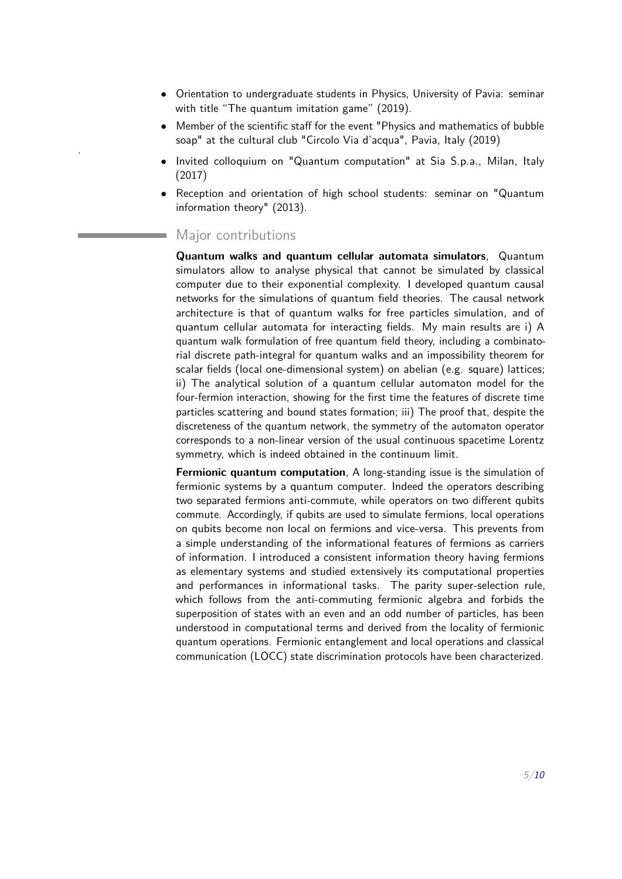- *•* Orientation to undergraduate students in Physics, University of Pavia: seminar with title "The quantum imitation game" (2019).
- Member of the scientific staff for the event "Physics and mathematics of bubble soap" at the cultural club "Circolo Via d'acqua", Pavia, Italy (2019) .
- *•* Invited colloquium on "Quantum computation" at Sia S.p.a., Milan, Italy (2017)
- *•* Reception and orientation of high school students: seminar on "Quantum information theory" (2013).

#### Major contributions

**Quantum walks and quantum cellular automata simulators**, Quantum simulators allow to analyse physical that cannot be simulated by classical computer due to their exponential complexity. I developed quantum causal networks for the simulations of quantum field theories. The causal network architecture is that of quantum walks for free particles simulation, and of quantum cellular automata for interacting fields. My main results are i) A quantum walk formulation of free quantum field theory, including a combinatorial discrete path-integral for quantum walks and an impossibility theorem for scalar fields (local one-dimensional system) on abelian (e.g. square) lattices; ii) The analytical solution of a quantum cellular automaton model for the four-fermion interaction, showing for the first time the features of discrete time particles scattering and bound states formation; iii) The proof that, despite the discreteness of the quantum network, the symmetry of the automaton operator corresponds to a non-linear version of the usual continuous spacetime Lorentz symmetry, which is indeed obtained in the continuum limit.

**Fermionic quantum computation**, A long-standing issue is the simulation of fermionic systems by a quantum computer. Indeed the operators describing two separated fermions anti-commute, while operators on two different qubits commute. Accordingly, if qubits are used to simulate fermions, local operations on qubits become non local on fermions and vice-versa. This prevents from a simple understanding of the informational features of fermions as carriers of information. I introduced a consistent information theory having fermions as elementary systems and studied extensively its computational properties and performances in informational tasks. The parity super-selection rule, which follows from the anti-commuting fermionic algebra and forbids the superposition of states with an even and an odd number of particles, has been understood in computational terms and derived from the locality of fermionic quantum operations. Fermionic entanglement and local operations and classical communication (LOCC) state discrimination protocols have been characterized.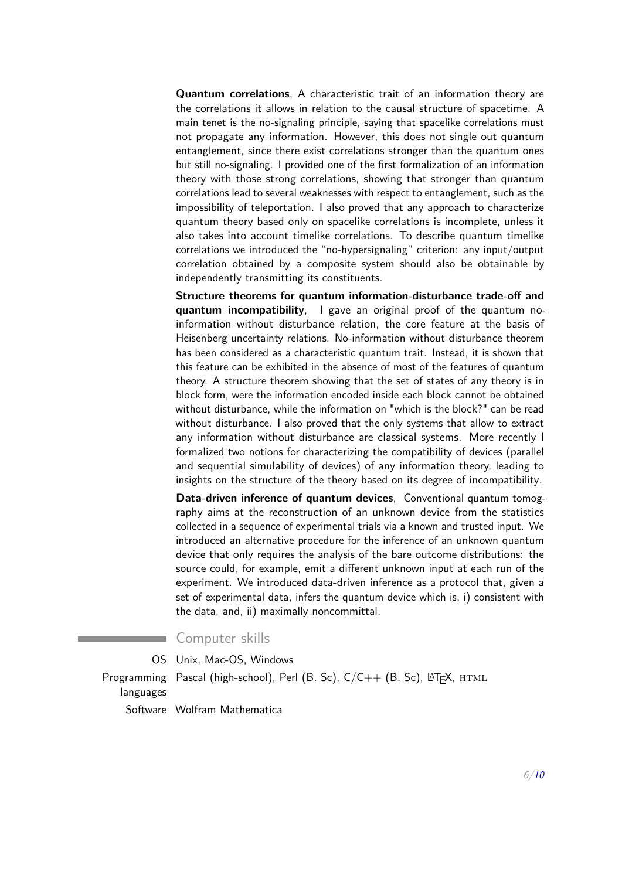**Quantum correlations**, A characteristic trait of an information theory are the correlations it allows in relation to the causal structure of spacetime. A main tenet is the no-signaling principle, saying that spacelike correlations must not propagate any information. However, this does not single out quantum entanglement, since there exist correlations stronger than the quantum ones but still no-signaling. I provided one of the first formalization of an information theory with those strong correlations, showing that stronger than quantum correlations lead to several weaknesses with respect to entanglement, such as the impossibility of teleportation. I also proved that any approach to characterize quantum theory based only on spacelike correlations is incomplete, unless it also takes into account timelike correlations. To describe quantum timelike correlations we introduced the "no-hypersignaling" criterion: any input/output correlation obtained by a composite system should also be obtainable by independently transmitting its constituents.

**Structure theorems for quantum information-disturbance trade-off and quantum incompatibility**, I gave an original proof of the quantum noinformation without disturbance relation, the core feature at the basis of Heisenberg uncertainty relations. No-information without disturbance theorem has been considered as a characteristic quantum trait. Instead, it is shown that this feature can be exhibited in the absence of most of the features of quantum theory. A structure theorem showing that the set of states of any theory is in block form, were the information encoded inside each block cannot be obtained without disturbance, while the information on "which is the block?" can be read without disturbance. I also proved that the only systems that allow to extract any information without disturbance are classical systems. More recently I formalized two notions for characterizing the compatibility of devices (parallel and sequential simulability of devices) of any information theory, leading to insights on the structure of the theory based on its degree of incompatibility.

**Data-driven inference of quantum devices**, Conventional quantum tomography aims at the reconstruction of an unknown device from the statistics collected in a sequence of experimental trials via a known and trusted input. We introduced an alternative procedure for the inference of an unknown quantum device that only requires the analysis of the bare outcome distributions: the source could, for example, emit a different unknown input at each run of the experiment. We introduced data-driven inference as a protocol that, given a set of experimental data, infers the quantum device which is, i) consistent with the data, and, ii) maximally noncommittal.

#### Computer skills

OS Unix, Mac-OS, Windows

Programming Pascal (high-school), Perl (B. Sc), C/C++ (B. Sc), KT<sub>E</sub>X, HTML languages Software Wolfram Mathematica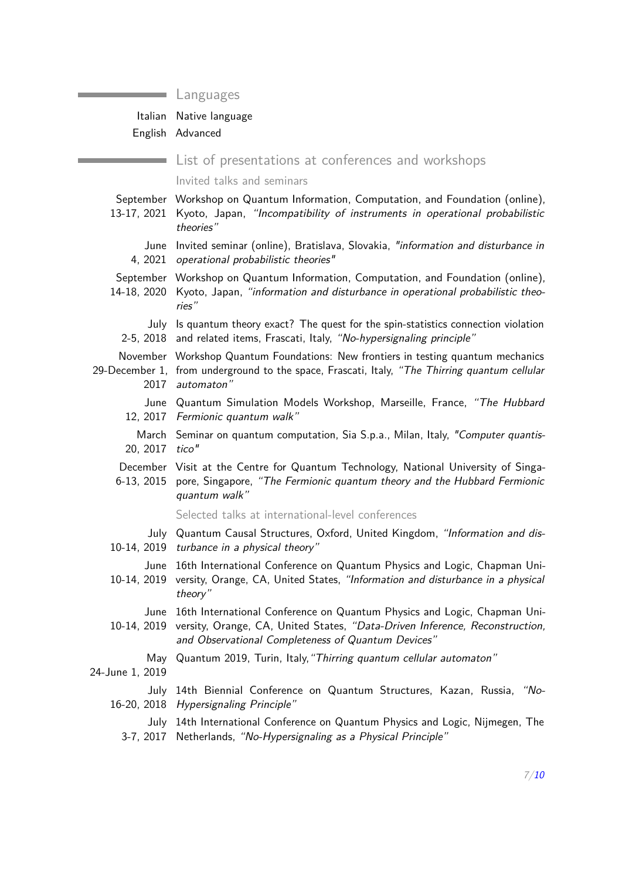#### Languages

## Italian Native language

English Advanced

List of presentations at conferences and workshops

Invited talks and seminars

- September Workshop on Quantum Information, Computation, and Foundation (online), 13-17, 2021 Kyoto, Japan, *"Incompatibility of instruments in operational probabilistic theories"* June Invited seminar (online), Bratislava, Slovakia, *"information and disturbance in* 4, 2021 *operational probabilistic theories"* September Workshop on Quantum Information, Computation, and Foundation (online), 14-18, 2020 Kyoto, Japan, *"information and disturbance in operational probabilistic theories"* July Is quantum theory exact? The quest for the spin-statistics connection violation 2-5, 2018 and related items, Frascati, Italy, *"No-hypersignaling principle"* November Workshop Quantum Foundations: New frontiers in testing quantum mechanics 29-December 1, from underground to the space, Frascati, Italy, *"The Thirring quantum cellular* 2017 *automaton"* June Quantum Simulation Models Workshop, Marseille, France, *"The Hubbard* 12, 2017 *Fermionic quantum walk"* March Seminar on quantum computation, Sia S.p.a., Milan, Italy, *"Computer quantis-*20, 2017 *tico"* December Visit at the Centre for Quantum Technology, National University of Singa-6-13, 2015 pore, Singapore, *"The Fermionic quantum theory and the Hubbard Fermionic quantum walk"* Selected talks at international-level conferences July Quantum Causal Structures, Oxford, United Kingdom, *"Information and dis-*10-14, 2019 *turbance in a physical theory"* June 16th International Conference on Quantum Physics and Logic, Chapman Uni-10-14, 2019 versity, Orange, CA, United States, *"Information and disturbance in a physical theory"* June 16th International Conference on Quantum Physics and Logic, Chapman Uni-10-14, 2019 versity, Orange, CA, United States, *"Data-Driven Inference, Reconstruction, and Observational Completeness of Quantum Devices"* May Quantum 2019, Turin, Italy,*"Thirring quantum cellular automaton"* 24-June 1, 2019 July 14th Biennial Conference on Quantum Structures, Kazan, Russia, *"No-*16-20, 2018 *Hypersignaling Principle"*
	- July 14th International Conference on Quantum Physics and Logic, Nijmegen, The 3-7, 2017 Netherlands, *"No-Hypersignaling as a Physical Principle"*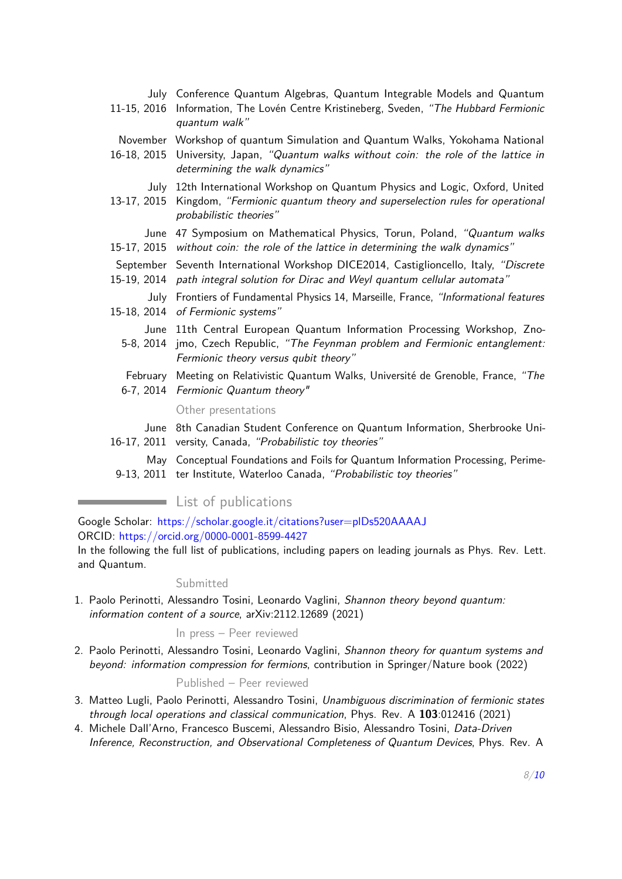|             | July Conference Quantum Algebras, Quantum Integrable Models and Quantum<br>11-15, 2016 Information, The Lovén Centre Kristineberg, Sveden, "The Hubbard Fermionic<br>quantum walk"                       |
|-------------|----------------------------------------------------------------------------------------------------------------------------------------------------------------------------------------------------------|
|             | November Workshop of quantum Simulation and Quantum Walks, Yokohama National<br>16-18, 2015 University, Japan, "Quantum walks without coin: the role of the lattice in<br>determining the walk dynamics" |
| 13-17, 2015 | July 12th International Workshop on Quantum Physics and Logic, Oxford, United<br>Kingdom, "Fermionic quantum theory and superselection rules for operational<br>probabilistic theories"                  |
| 15-17, 2015 | June 47 Symposium on Mathematical Physics, Torun, Poland, "Quantum walks<br>without coin: the role of the lattice in determining the walk dynamics"                                                      |
|             | September Seventh International Workshop DICE2014, Castiglioncello, Italy, "Discrete<br>15-19, 2014 path integral solution for Dirac and Weyl quantum cellular automata"                                 |
|             | July Frontiers of Fundamental Physics 14, Marseille, France, "Informational features<br>15-18, 2014 of Fermionic systems"                                                                                |
|             | June 11th Central European Quantum Information Processing Workshop, Zno-<br>5-8, 2014 jmo, Czech Republic, "The Feynman problem and Fermionic entanglement:<br>Fermionic theory versus qubit theory"     |
|             | February Meeting on Relativistic Quantum Walks, Université de Grenoble, France, "The<br>6-7, 2014 Fermionic Quantum theory"                                                                              |
|             | Other presentations                                                                                                                                                                                      |
|             | June 8th Canadian Student Conference on Quantum Information, Sherbrooke Uni-<br>16-17, 2011 versity, Canada, "Probabilistic toy theories"                                                                |
|             | May Conceptual Foundations and Foils for Quantum Information Processing, Perime-<br>9-13, 2011 ter Institute, Waterloo Canada, "Probabilistic toy theories"                                              |

### **List of publications**

Google Scholar: <https://scholar.google.it/citations?user=plDs520AAAAJ> ORCID: <https://orcid.org/0000-0001-8599-4427>

In the following the full list of publications, including papers on leading journals as Phys. Rev. Lett. and Quantum.

#### Submitted

1. Paolo Perinotti, Alessandro Tosini, Leonardo Vaglini, *Shannon theory beyond quantum: information content of a source*, arXiv:2112.12689 (2021)

#### In press – Peer reviewed

2. Paolo Perinotti, Alessandro Tosini, Leonardo Vaglini, *Shannon theory for quantum systems and beyond: information compression for fermions*, contribution in Springer/Nature book (2022)

#### Published – Peer reviewed

- 3. Matteo Lugli, Paolo Perinotti, Alessandro Tosini, *Unambiguous discrimination of fermionic states through local operations and classical communication*, Phys. Rev. A **103**:012416 (2021)
- 4. Michele Dall'Arno, Francesco Buscemi, Alessandro Bisio, Alessandro Tosini, *Data-Driven Inference, Reconstruction, and Observational Completeness of Quantum Devices*, Phys. Rev. A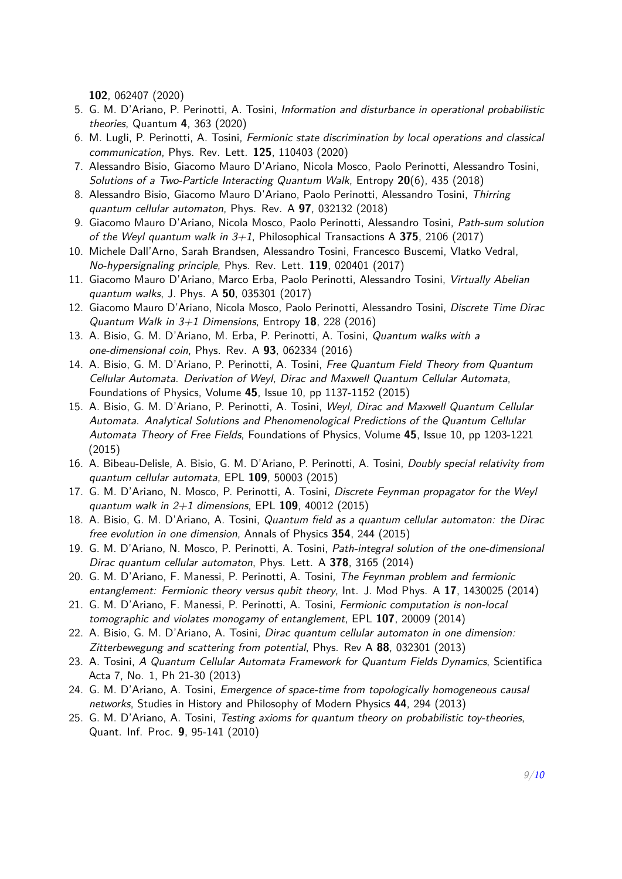**102**, 062407 (2020)

- 5. G. M. D'Ariano, P. Perinotti, A. Tosini, *Information and disturbance in operational probabilistic theories*, Quantum **4**, 363 (2020)
- 6. M. Lugli, P. Perinotti, A. Tosini, *Fermionic state discrimination by local operations and classical communication*, Phys. Rev. Lett. **125**, 110403 (2020)
- 7. Alessandro Bisio, Giacomo Mauro D'Ariano, Nicola Mosco, Paolo Perinotti, Alessandro Tosini, *Solutions of a Two-Particle Interacting Quantum Walk*, Entropy **20**(6), 435 (2018)
- 8. Alessandro Bisio, Giacomo Mauro D'Ariano, Paolo Perinotti, Alessandro Tosini, *Thirring quantum cellular automaton*, Phys. Rev. A **97**, 032132 (2018)
- 9. Giacomo Mauro D'Ariano, Nicola Mosco, Paolo Perinotti, Alessandro Tosini, *Path-sum solution of the Weyl quantum walk in 3+1*, Philosophical Transactions A **375**, 2106 (2017)
- 10. Michele Dall'Arno, Sarah Brandsen, Alessandro Tosini, Francesco Buscemi, Vlatko Vedral, *No-hypersignaling principle*, Phys. Rev. Lett. **119**, 020401 (2017)
- 11. Giacomo Mauro D'Ariano, Marco Erba, Paolo Perinotti, Alessandro Tosini, *Virtually Abelian quantum walks*, J. Phys. A **50**, 035301 (2017)
- 12. Giacomo Mauro D'Ariano, Nicola Mosco, Paolo Perinotti, Alessandro Tosini, *Discrete Time Dirac Quantum Walk in 3+1 Dimensions*, Entropy **18**, 228 (2016)
- 13. A. Bisio, G. M. D'Ariano, M. Erba, P. Perinotti, A. Tosini, *Quantum walks with a one-dimensional coin*, Phys. Rev. A **93**, 062334 (2016)
- 14. A. Bisio, G. M. D'Ariano, P. Perinotti, A. Tosini, *Free Quantum Field Theory from Quantum Cellular Automata. Derivation of Weyl, Dirac and Maxwell Quantum Cellular Automata*, Foundations of Physics, Volume **45**, Issue 10, pp 1137-1152 (2015)
- 15. A. Bisio, G. M. D'Ariano, P. Perinotti, A. Tosini, *Weyl, Dirac and Maxwell Quantum Cellular Automata. Analytical Solutions and Phenomenological Predictions of the Quantum Cellular Automata Theory of Free Fields*, Foundations of Physics, Volume **45**, Issue 10, pp 1203-1221 (2015)
- 16. A. Bibeau-Delisle, A. Bisio, G. M. D'Ariano, P. Perinotti, A. Tosini, *Doubly special relativity from quantum cellular automata*, EPL **109**, 50003 (2015)
- 17. G. M. D'Ariano, N. Mosco, P. Perinotti, A. Tosini, *Discrete Feynman propagator for the Weyl quantum walk in 2+1 dimensions*, EPL **109**, 40012 (2015)
- 18. A. Bisio, G. M. D'Ariano, A. Tosini, *Quantum field as a quantum cellular automaton: the Dirac free evolution in one dimension*, Annals of Physics **354**, 244 (2015)
- 19. G. M. D'Ariano, N. Mosco, P. Perinotti, A. Tosini, *Path-integral solution of the one-dimensional Dirac quantum cellular automaton*, Phys. Lett. A **378**, 3165 (2014)
- 20. G. M. D'Ariano, F. Manessi, P. Perinotti, A. Tosini, *The Feynman problem and fermionic entanglement: Fermionic theory versus qubit theory*, Int. J. Mod Phys. A **17**, 1430025 (2014)
- 21. G. M. D'Ariano, F. Manessi, P. Perinotti, A. Tosini, *Fermionic computation is non-local tomographic and violates monogamy of entanglement*, EPL **107**, 20009 (2014)
- 22. A. Bisio, G. M. D'Ariano, A. Tosini, *Dirac quantum cellular automaton in one dimension: Zitterbewegung and scattering from potential*, Phys. Rev A **88**, 032301 (2013)
- 23. A. Tosini, *A Quantum Cellular Automata Framework for Quantum Fields Dynamics*, Scientifica Acta 7, No. 1, Ph 21-30 (2013)
- 24. G. M. D'Ariano, A. Tosini, *Emergence of space-time from topologically homogeneous causal networks*, Studies in History and Philosophy of Modern Physics **44**, 294 (2013)
- <span id="page-7-0"></span>25. G. M. D'Ariano, A. Tosini, *Testing axioms for quantum theory on probabilistic toy-theories*, Quant. Inf. Proc. **9**, 95-141 (2010)